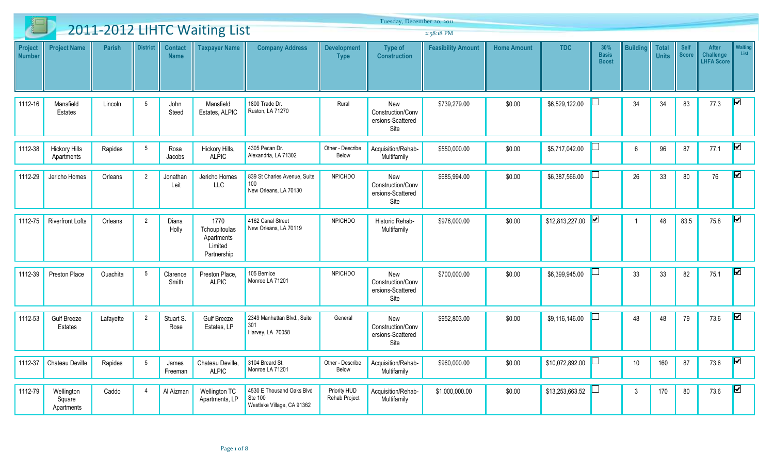|                          | Tuesday, December 20, 2011<br>2011-2012 LIHTC Waiting List<br>2:58:18 PM |           |                 |                               |                                                               |                                                                    |                                   |                                                              |                           |                    |                 |                                     |                 |                              |               |                                                |                         |
|--------------------------|--------------------------------------------------------------------------|-----------|-----------------|-------------------------------|---------------------------------------------------------------|--------------------------------------------------------------------|-----------------------------------|--------------------------------------------------------------|---------------------------|--------------------|-----------------|-------------------------------------|-----------------|------------------------------|---------------|------------------------------------------------|-------------------------|
| Project<br><b>Number</b> | <b>Project Name</b>                                                      | Parish    | <b>District</b> | <b>Contact</b><br><b>Name</b> | <b>Taxpayer Name</b>                                          | <b>Company Address</b>                                             | <b>Development</b><br><b>Type</b> | <b>Type of</b><br><b>Construction</b>                        | <b>Feasibility Amount</b> | <b>Home Amount</b> | <b>TDC</b>      | 30%<br><b>Basis</b><br><b>Boost</b> | <b>Building</b> | <b>Total</b><br><b>Units</b> | Self<br>Score | After<br><b>Challenge</b><br><b>LHFA Score</b> | Waiting<br>List         |
| 1112-16                  | Mansfield<br>Estates                                                     | Lincoln   | 5               | John<br>Steed                 | Mansfield<br>Estates, ALPIC                                   | 1800 Trade Dr.<br>Ruston, LA 71270                                 | Rural                             | <b>New</b><br>Construction/Conv<br>ersions-Scattered<br>Site | \$739,279.00              | \$0.00             | \$6,529,122.00  |                                     | 34              | 34                           | 83            | 77.3                                           | M                       |
| 1112-38                  | <b>Hickory Hills</b><br>Apartments                                       | Rapides   | 5               | Rosa<br>Jacobs                | Hickory Hills,<br><b>ALPIC</b>                                | 4305 Pecan Dr.<br>Alexandria, LA 71302                             | Other - Describe<br>Below         | Acquisition/Rehab-<br>Multifamily                            | \$550,000.00              | \$0.00             | \$5,717,042.00  |                                     | -6              | 96                           | 87            | 77.1                                           | $\overline{\mathbf{v}}$ |
| 1112-29                  | Jericho Homes                                                            | Orleans   | 2               | Jonathan<br>Leit              | Jericho Homes<br><b>LLC</b>                                   | 839 St Charles Avenue, Suite<br>100<br>New Orleans, LA 70130       | NP/CHDO                           | New<br>Construction/Conv<br>ersions-Scattered<br>Site        | \$685,994.00              | \$0.00             | \$6,387,566.00  |                                     | 26              | 33                           | 80            | 76                                             | $\blacktriangleright$   |
| 1112-75                  | <b>Riverfront Lofts</b>                                                  | Orleans   | 2               | Diana<br>Holly                | 1770<br>Tchoupitoulas<br>Apartments<br>Limited<br>Partnership | 4162 Canal Street<br>New Orleans, LA 70119                         | NP/CHDO                           | Historic Rehab-<br>Multifamily                               | \$976,000.00              | \$0.00             | \$12,813,227.00 | $\sqrt{2}$                          |                 | 48                           | 83.5          | 75.8                                           | M                       |
| 1112-39                  | Preston Place                                                            | Ouachita  | 5               | Clarence<br>Smith             | Preston Place,<br><b>ALPIC</b>                                | 105 Bernice<br>Monroe LA 71201                                     | NP/CHDO                           | <b>New</b><br>Construction/Conv<br>ersions-Scattered<br>Site | \$700,000.00              | \$0.00             | \$6,399,945.00  |                                     | 33              | 33                           | 82            | 75.1                                           | M                       |
| 1112-53                  | <b>Gulf Breeze</b><br>Estates                                            | Lafayette | $\overline{2}$  | Stuart S.<br>Rose             | <b>Gulf Breeze</b><br>Estates, LP                             | 2349 Manhattan Blvd., Suite<br>301<br>Harvey, LA 70058             | General                           | New<br>Construction/Conv<br>ersions-Scattered<br>Site        | \$952,803.00              | \$0.00             | \$9,116,146.00  |                                     | 48              | 48                           | 79            | 73.6                                           | $\overline{\mathbf{v}}$ |
| 1112-37                  | Chateau Deville                                                          | Rapides   | 5               | James<br>Freeman              | Chateau Deville,<br><b>ALPIC</b>                              | 3104 Breard St.<br>Monroe LA 71201                                 | Other - Describe<br>Below         | Acquisition/Rehab-<br>Multifamily                            | \$960,000.00              | \$0.00             | \$10,072,892.00 |                                     | 10              | 160                          | 87            | 73.6                                           | $\vert\mathbf{v}\vert$  |
| 1112-79                  | Wellington<br>Square<br>Apartments                                       | Caddo     |                 | Al Aizman                     | Wellington TC<br>Apartments, LP                               | 4530 E Thousand Oaks Blvd<br>Ste 100<br>Westlake Village, CA 91362 | Priority HUD<br>Rehab Project     | Acquisition/Rehab-<br>Multifamily                            | \$1,000,000.00            | \$0.00             | \$13,253,663.52 |                                     | $\mathbf{3}$    | 170                          | 80            | 73.6                                           | $\vert\mathbf{v}\vert$  |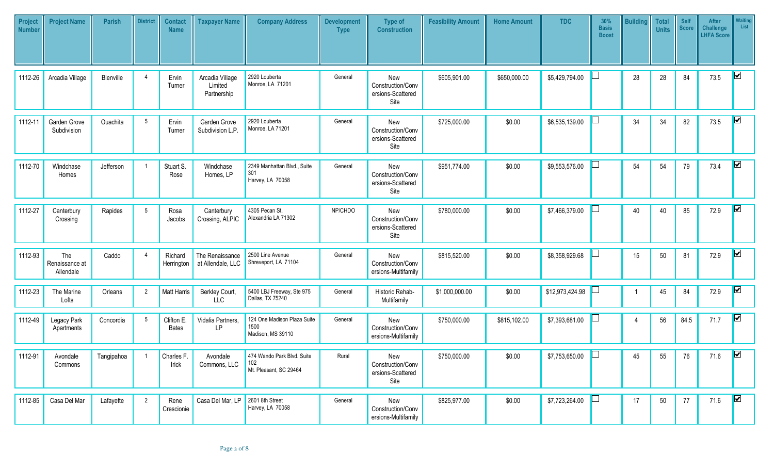| Project<br><b>Number</b> | <b>Project Name</b>                | <b>Parish</b> | <b>District</b> | <b>Contact</b><br><b>Name</b> | <b>Taxpayer Name</b>                      | <b>Company Address</b>                                      | <b>Development</b><br><b>Type</b> | <b>Type of</b><br><b>Construction</b>                        | <b>Feasibility Amount</b> | <b>Home Amount</b> | <b>TDC</b>      | 30%<br><b>Basis</b><br><b>Boost</b> | <b>Building</b> | <b>Total</b><br><b>Units</b> | <b>Self</b><br><b>Score</b> | After<br>Challenge<br><b>LHFA Score</b> | <b>Waiting</b><br>List        |
|--------------------------|------------------------------------|---------------|-----------------|-------------------------------|-------------------------------------------|-------------------------------------------------------------|-----------------------------------|--------------------------------------------------------------|---------------------------|--------------------|-----------------|-------------------------------------|-----------------|------------------------------|-----------------------------|-----------------------------------------|-------------------------------|
| 1112-26                  | Arcadia Village                    | Bienville     |                 | Ervin<br>Turner               | Arcadia Village<br>Limited<br>Partnership | 2920 Louberta<br>Monroe, LA 71201                           | General                           | <b>New</b><br>Construction/Conv<br>ersions-Scattered<br>Site | \$605,901.00              | \$650,000.00       | \$5,429,794.00  |                                     | 28              | 28                           | 84                          | 73.5                                    | $\overline{\mathbf{v}}$       |
| 1112-11                  | Garden Grove<br>Subdivision        | Ouachita      | -5              | Ervin<br>Turner               | Garden Grove<br>Subdivision L.P.          | 2920 Louberta<br>Monroe, LA 71201                           | General                           | New<br>Construction/Conv<br>ersions-Scattered<br>Site        | \$725,000.00              | \$0.00             | \$6,535,139.00  |                                     | 34              | 34                           | 82                          | 73.5                                    | $\blacktriangledown$          |
| 1112-70                  | Windchase<br>Homes                 | Jefferson     |                 | Stuart S.<br>Rose             | Windchase<br>Homes, LP                    | 2349 Manhattan Blvd., Suite<br>301<br>Harvey, LA 70058      | General                           | New<br>Construction/Conv<br>ersions-Scattered<br>Site        | \$951,774.00              | \$0.00             | \$9,553,576.00  |                                     | 54              | 54                           | 79                          | 73.4                                    | $\overline{\mathbf{v}}$       |
| 1112-27                  | Canterbury<br>Crossing             | Rapides       | 5               | Rosa<br>Jacobs                | Canterbury<br>Crossing, ALPIC             | 4305 Pecan St.<br>Alexandria LA 71302                       | NP/CHDO                           | New<br>Construction/Conv<br>ersions-Scattered<br>Site        | \$780,000.00              | \$0.00             | \$7,466,379.00  |                                     | 40              | 40                           | 85                          | 72.9                                    | $\blacktriangleright$         |
| 1112-93                  | The<br>Renaissance at<br>Allendale | Caddo         | 4               | Richard<br>Herrington         | The Renaissance<br>at Allendale, LLC      | 2500 Line Avenue<br>Shreveport, LA 71104                    | General                           | New<br>Construction/Conv<br>ersions-Multifamily              | \$815,520.00              | \$0.00             | \$8,358,929.68  |                                     | 15              | 50                           | 81                          | 72.9                                    | $\blacktriangledown$          |
| 1112-23                  | The Marine<br>Lofts                | Orleans       | $\overline{2}$  | <b>Matt Harris</b>            | Berkley Court,<br><b>LLC</b>              | 5400 LBJ Freeway, Ste 975<br>Dallas, TX 75240               | General                           | Historic Rehab-<br>Multifamily                               | \$1,000,000.00            | \$0.00             | \$12,973,424.98 |                                     |                 | 45                           | 84                          | 72.9                                    | $\blacktriangleright$         |
| 1112-49                  | Legacy Park<br>Apartments          | Concordia     | -5              | Clifton E.<br>Bates           | Vidalia Partners,<br>LP                   | 124 One Madison Plaza Suite<br>1500<br>Madison, MS 39110    | General                           | New<br>Construction/Conv<br>ersions-Multifamily              | \$750,000.00              | \$815,102.00       | \$7,393,681.00  |                                     |                 | 56                           | 84.5                        | 71.7                                    | $\blacktriangledown$          |
| 1112-91                  | Avondale<br>Commons                | Tangipahoa    |                 | Charles F.<br>Irick           | Avondale<br>Commons, LLC                  | 474 Wando Park Blvd. Suite<br>102<br>Mt. Pleasant, SC 29464 | Rural                             | <b>New</b><br>Construction/Conv<br>ersions-Scattered<br>Site | \$750,000.00              | \$0.00             | \$7,753,650.00  |                                     | 45              | 55                           | 76                          | 71.6                                    | $\overline{\mathbf{z}}$       |
| 1112-85                  | Casa Del Mar                       | Lafayette     | $\overline{2}$  | Rene<br>Crescionie            | Casa Del Mar, LP                          | 2601 8th Street<br>Harvey, LA 70058                         | General                           | New<br>Construction/Conv<br>ersions-Multifamily              | \$825,977.00              | \$0.00             | \$7,723,264.00  |                                     | 17              | 50                           | 77                          | 71.6                                    | $\vert\text{\textbf{v}}\vert$ |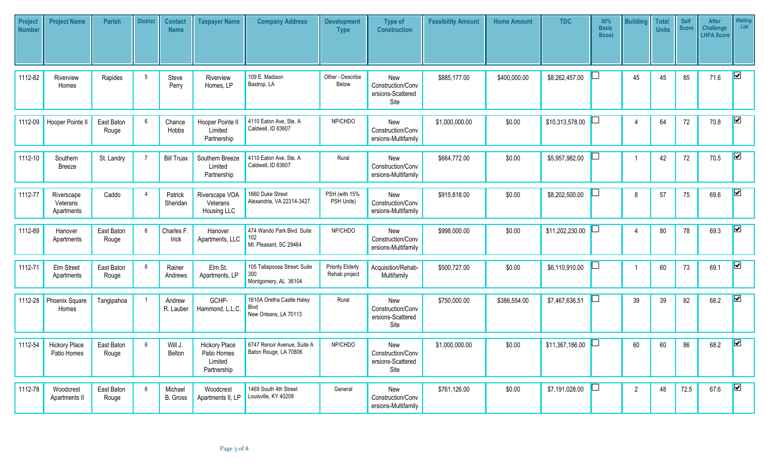| Project<br><b>Number</b> | <b>Project Name</b>                  | Parish              | <b>District</b>       | <b>Contact</b><br><b>Name</b> | <b>Taxpayer Name</b>                                          | <b>Company Address</b>                                      | <b>Development</b><br><b>Type</b>        | <b>Type of</b><br><b>Construction</b>                        | <b>Feasibility Amount</b> | <b>Home Amount</b> | <b>TDC</b>      | 30%<br><b>Basis</b><br><b>Boost</b> | <b>Building</b> | <b>Total</b><br><b>Units</b> | <b>Self</b><br><b>Score</b> | <b>After</b><br><b>Challenge</b><br><b>LHFA Score</b> | <b>Waiting</b><br><b>List</b>   |
|--------------------------|--------------------------------------|---------------------|-----------------------|-------------------------------|---------------------------------------------------------------|-------------------------------------------------------------|------------------------------------------|--------------------------------------------------------------|---------------------------|--------------------|-----------------|-------------------------------------|-----------------|------------------------------|-----------------------------|-------------------------------------------------------|---------------------------------|
| 1112-82                  | Riverview<br>Homes                   | Rapides             | $\overline{5}$        | Steve<br>Perry                | Riverview<br>Homes, LP                                        | 109 E. Madison<br>Bastrop, LA                               | Other - Describe<br>Below                | <b>New</b><br>Construction/Conv<br>ersions-Scattered<br>Site | \$885,177.00              | \$400,000.00       | \$8,262,457.00  |                                     | 45              | 45                           | 85                          | 71.6                                                  | $\overline{\mathbf{v}}$         |
| 1112-09                  | Hooper Pointe II                     | East Baton<br>Rouge | 6                     | Chance<br>Hobbs               | Hooper Pointe II<br>Limited<br>Partnership                    | 4110 Eaton Ave, Ste. A<br>Caldwell. ID 83607                | NP/CHDO                                  | <b>New</b><br>Construction/Conv<br>ersions-Multifamily       | \$1,000,000.00            | \$0.00             | \$10,313,578.00 |                                     | Δ               | 64                           | 72                          | 70.8                                                  | $\overline{\mathbf{v}}$         |
| 1112-10                  | Southern<br>Breeze                   | St. Landry          |                       | <b>Bill Truax</b>             | Southern Breeze<br>Limited<br>Partnership                     | 4110 Eaton Ave. Ste. A<br>Caldwell, ID 83607                | Rural                                    | New<br>Construction/Conv<br>ersions-Multifamily              | \$664,772.00              | \$0.00             | \$5,957,982.00  |                                     |                 | 42                           | 72                          | 70.5                                                  | $\overline{\mathbf{v}}$         |
| 1112-77                  | Riverscape<br>Veterans<br>Apartments | Caddo               | $\Delta$              | Patrick<br>Sheridan           | Riverscape VOA<br>Veterans<br>Housing LLC                     | 1660 Duke Street<br>Alexandria, VA 22314-3427               | PSH (with 15%<br>PSH Units)              | New<br>Construction/Conv<br>ersions-Multifamily              | \$915,818.00              | \$0.00             | \$8,202,500.00  |                                     | 8               | 57                           | 75                          | 69.6                                                  | $\overline{\mathbf{v}}$         |
| 1112-89                  | Hanover<br>Apartments                | East Baton<br>Rouge | 6                     | Charles F.<br>Irick           | Hanover<br>Apartments, LLC                                    | 474 Wando Park Blvd. Suite<br>102<br>Mt. Pleasant, SC 29464 | NP/CHDO                                  | New<br>Construction/Conv<br>ersions-Multifamily              | \$998,000.00              | \$0.00             | \$11,202,230.00 |                                     |                 | 80                           | 78                          | 69.3                                                  | $\overline{\mathbf{v}}$         |
| 1112-71                  | Elm Street<br>Apartments             | East Baton<br>Rouge | $6\overline{6}$       | Rainer<br>Andrews             | Elm St.<br>Apartments, LP                                     | 105 Tallapoosa Street; Suite<br>300<br>Montgomery, AL 36104 | <b>Priority Elderly</b><br>Rehab project | Acquisition/Rehab-<br>Multifamily                            | \$500,727.00              | \$0.00             | \$6,110,910.00  |                                     |                 | 60                           | 73                          | 69.1                                                  | $\overline{\mathbf{v}}$         |
|                          | 1112-28 Phoenix Square<br>Homes      | Tangipahoa          |                       | Andrew<br>R. Lauber           | GCHP-<br>Hammond, L.L.C.                                      | 1610A Oretha Castle Haley<br>Blvd<br>New Orleans, LA 70113  | Rural                                    | New<br>Construction/Conv<br>ersions-Scattered<br>Site        | \$750,000.00              | \$386,554.00       | \$7,467,636.51  |                                     | 39              | 39                           | 82                          | 68.2                                                  | $\overline{\mathbf{v}}$         |
| 1112-54                  | <b>Hickory Place</b><br>Patio Homes  | East Baton<br>Rouge | 6                     | Will J.<br>Belton             | <b>Hickory Place</b><br>Patio Homes<br>Limited<br>Partnership | 6747 Renoir Avenue, Suite A<br>Baton Rouge, LA 70806        | NP/CHDO                                  | <b>New</b><br>Construction/Conv<br>ersions-Scattered<br>Site | \$1,000,000.00            | \$0.00             | \$11,367,186.00 |                                     | 60              | 60                           | 86                          | 68.2                                                  | $\overline{\blacktriangledown}$ |
| 1112-78                  | Woodcrest<br>Apartments II           | East Baton<br>Rouge | $\boldsymbol{\kappa}$ | Michael<br>B. Gross           | Woodcrest<br>Apartments II, LP                                | 1469 South 4th Street<br>Louisville, KY 40208               | General                                  | New<br>Construction/Conv<br>ersions-Multifamily              | \$761,126.00              | \$0.00             | \$7,191,028.00  |                                     | $\overline{2}$  | 48                           | 72.5                        | 67.6                                                  | $\overline{\mathbf{v}}$         |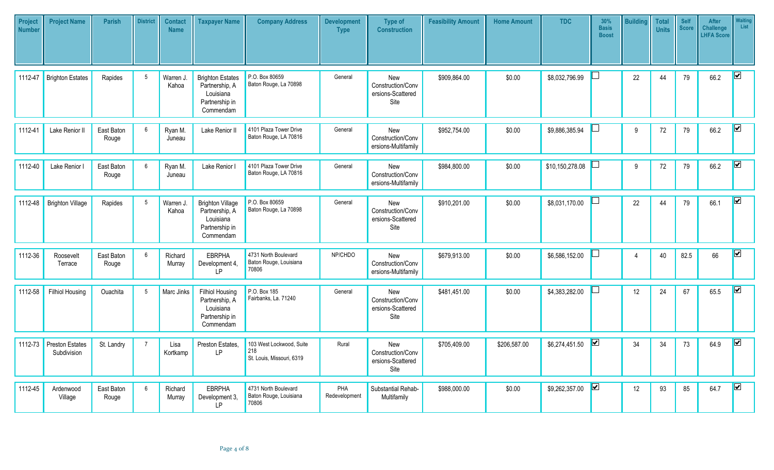| Project<br><b>Number</b> | <b>Project Name</b>                   | Parish              | <b>District</b> | <b>Contact</b><br><b>Name</b> | <b>Taxpayer Name</b>                                                                  | <b>Company Address</b>                                       | <b>Development</b><br><b>Type</b> | <b>Type of</b><br><b>Construction</b>                        | <b>Feasibility Amount</b> | <b>Home Amount</b> | <b>TDC</b>      | 30%<br><b>Basis</b><br><b>Boost</b> | <b>Building</b> | <b>Total</b><br><b>Units</b> | <b>Self</b><br><b>Score</b> | <b>After</b><br><b>Challenge</b><br><b>LHFA Score</b> | <b>Waiting</b><br><b>List</b>   |
|--------------------------|---------------------------------------|---------------------|-----------------|-------------------------------|---------------------------------------------------------------------------------------|--------------------------------------------------------------|-----------------------------------|--------------------------------------------------------------|---------------------------|--------------------|-----------------|-------------------------------------|-----------------|------------------------------|-----------------------------|-------------------------------------------------------|---------------------------------|
| 1112-47                  | <b>Brighton Estates</b>               | Rapides             | 5               | Warren J.<br>Kahoa            | <b>Brighton Estates</b><br>Partnership, A<br>Louisiana<br>Partnership in<br>Commendam | P.O. Box 80659<br>Baton Rouge, La 70898                      | General                           | <b>New</b><br>Construction/Conv<br>ersions-Scattered<br>Site | \$909,864.00              | \$0.00             | \$8,032,796.99  |                                     | 22              | 44                           | 79                          | 66.2                                                  | $\overline{\mathbf{v}}$         |
| 1112-41                  | Lake Renior II                        | East Baton<br>Rouge | 6               | Ryan M.<br>Juneau             | Lake Renior II                                                                        | 4101 Plaza Tower Drive<br>Baton Rouge, LA 70816              | General                           | New<br>Construction/Conv<br>ersions-Multifamily              | \$952,754.00              | \$0.00             | \$9,886,385.94  |                                     | 9               | 72                           | 79                          | 66.2                                                  | $\overline{\blacktriangledown}$ |
| 1112-40                  | Lake Renior I                         | East Baton<br>Rouge | $6\overline{6}$ | Ryan M.<br>Juneau             | Lake Renior I                                                                         | 4101 Plaza Tower Drive<br>Baton Rouge, LA 70816              | General                           | New<br>Construction/Conv<br>ersions-Multifamily              | \$984,800.00              | \$0.00             | \$10,150,278.08 |                                     | 9               | 72                           | 79                          | 66.2                                                  | $\overline{\mathbf{v}}$         |
| 1112-48                  | <b>Brighton Village</b>               | Rapides             | 5               | Warren J.<br>Kahoa            | <b>Brighton Village</b><br>Partnership, A<br>Louisiana<br>Partnership in<br>Commendam | P.O. Box 80659<br>Baton Rouge, La 70898                      | General                           | <b>New</b><br>Construction/Conv<br>ersions-Scattered<br>Site | \$910,201.00              | \$0.00             | \$8,031,170.00  |                                     | 22              | 44                           | 79                          | 66.1                                                  | $\blacktriangledown$            |
| 1112-36                  | Roosevelt<br>Terrace                  | East Baton<br>Rouge | 6               | Richard<br>Murray             | <b>EBRPHA</b><br>Development 4,<br>IP                                                 | 4731 North Boulevard<br>Baton Rouge, Louisiana<br>70806      | NP/CHDO                           | New<br>Construction/Conv<br>ersions-Multifamily              | \$679,913.00              | \$0.00             | \$6,586,152.00  |                                     |                 | 40                           | 82.5                        | 66                                                    | $\overline{\mathbf{v}}$         |
| 1112-58                  | <b>Filhiol Housing</b>                | Ouachita            | 5               | Marc Jinks                    | <b>Filhiol Housing</b><br>Partnership, A<br>Louisiana<br>Partnership in<br>Commendam  | P.O. Box 185<br>Fairbanks, La. 71240                         | General                           | <b>New</b><br>Construction/Conv<br>ersions-Scattered<br>Site | \$481,451.00              | \$0.00             | \$4,383,282.00  |                                     | 12              | 24                           | 67                          | 65.5                                                  | $\overline{\blacktriangledown}$ |
| 1112-73                  | <b>Preston Estates</b><br>Subdivision | St. Landry          |                 | Lisa<br>Kortkamp              | Preston Estates,<br><b>LP</b>                                                         | 103 West Lockwood, Suite<br>218<br>St. Louis, Missouri, 6319 | Rural                             | <b>New</b><br>Construction/Conv<br>ersions-Scattered<br>Site | \$705,409.00              | \$206,587.00       | \$6,274,451.50  | $\boxed{\mathbf{v}}$                | 34              | 34                           | 73                          | 64.9                                                  | $\blacktriangledown$            |
| 1112-45                  | Ardenwood<br>Village                  | East Baton<br>Rouge | $6\overline{6}$ | Richard<br>Murray             | <b>EBRPHA</b><br>Development 3,<br>LP.                                                | 4731 North Boulevard<br>Baton Rouge, Louisiana<br>70806      | PHA<br>Redevelopment              | Substantial Rehab-<br>Multifamily                            | \$988,000.00              | \$0.00             | \$9,262,357.00  | $\boxed{\mathbf{v}}$                | 12              | 93                           | 85                          | 64.7                                                  | $\overline{\mathbf{v}}$         |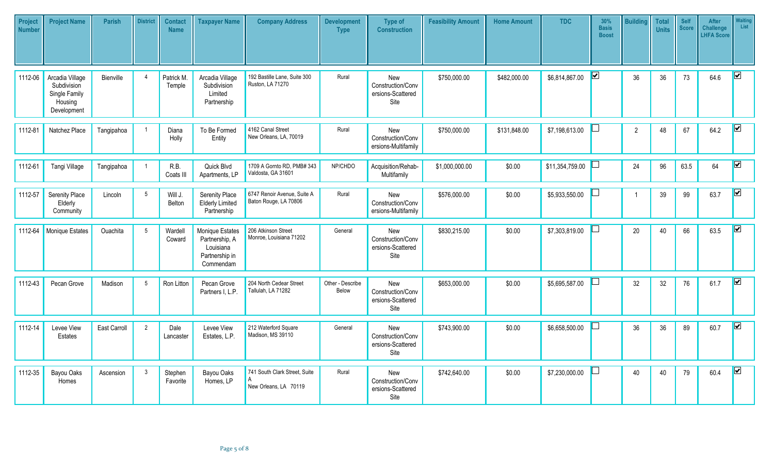| Project<br><b>Number</b> | <b>Project Name</b>                                                       | <b>Parish</b> | <b>District</b> | <b>Contact</b><br><b>Name</b> | <b>Taxpayer Name</b>                                                          | <b>Company Address</b>                                      | <b>Development</b><br><b>Type</b> | <b>Type of</b><br><b>Construction</b>                        | <b>Feasibility Amount</b> | <b>Home Amount</b> | <b>TDC</b>      | 30%<br><b>Basis</b><br><b>Boost</b> | <b>Building</b> | <b>Total</b><br><b>Units</b> | Self<br><b>Score</b> | <b>After</b><br><b>Challenge</b><br><b>LHFA Score</b> | <b>Waiting</b><br>List  |
|--------------------------|---------------------------------------------------------------------------|---------------|-----------------|-------------------------------|-------------------------------------------------------------------------------|-------------------------------------------------------------|-----------------------------------|--------------------------------------------------------------|---------------------------|--------------------|-----------------|-------------------------------------|-----------------|------------------------------|----------------------|-------------------------------------------------------|-------------------------|
| 1112-06                  | Arcadia Village<br>Subdivision<br>Single Family<br>Housing<br>Development | Bienville     | $\overline{4}$  | Patrick M.<br>Temple          | Arcadia Village<br>Subdivision<br>Limited<br>Partnership                      | 192 Bastille Lane, Suite 300<br>Ruston, LA 71270            | Rural                             | New<br>Construction/Conv<br>ersions-Scattered<br>Site        | \$750,000.00              | \$482,000.00       | \$6,814,867.00  | $\overline{\mathbf{v}}$             | 36              | 36                           | 73                   | 64.6                                                  | $\overline{\mathbf{v}}$ |
| 1112-81                  | Natchez Place                                                             | Tangipahoa    |                 | Diana<br>Holly                | To Be Formed<br>Entity                                                        | 4162 Canal Street<br>New Orleans, LA. 70019                 | Rural                             | New<br>Construction/Conv<br>ersions-Multifamily              | \$750,000.00              | \$131,848.00       | \$7,198,613.00  |                                     | $\overline{2}$  | 48                           | 67                   | 64.2                                                  | $\overline{\mathbf{v}}$ |
| 1112-61                  | Tangi Village                                                             | Tangipahoa    |                 | R.B.<br>Coats III             | Quick Blvd<br>Apartments, LP                                                  | 1709 A Gornto RD, PMB# 343<br>Valdosta, GA 31601            | NP/CHDO                           | Acquisition/Rehab-<br>Multifamily                            | \$1,000,000.00            | \$0.00             | \$11,354,759.00 |                                     | 24              | 96                           | 63.5                 | 64                                                    | $\boxed{\checkmark}$    |
| 1112-57                  | <b>Serenity Place</b><br>Elderly<br>Community                             | Lincoln       | $\overline{5}$  | Will J.<br>Belton             | Serenity Place<br><b>Elderly Limited</b><br>Partnership                       | 6747 Renoir Avenue, Suite A<br>Baton Rouge, LA 70806        | Rural                             | New<br>Construction/Conv<br>ersions-Multifamily              | \$576,000.00              | \$0.00             | \$5,933,550.00  |                                     |                 | 39                           | 99                   | 63.7                                                  | $\overline{\mathbf{v}}$ |
| 1112-64                  | Monique Estates                                                           | Ouachita      | 5               | Wardell<br>Coward             | Monique Estates<br>Partnership, A<br>Louisiana<br>Partnership in<br>Commendam | 206 Atkinson Street<br>Monroe, Louisiana 71202              | General                           | <b>New</b><br>Construction/Conv<br>ersions-Scattered<br>Site | \$830,215.00              | \$0.00             | \$7,303,819.00  |                                     | 20              | 40                           | 66                   | 63.5                                                  | $\overline{\mathbf{v}}$ |
| 1112-43                  | Pecan Grove                                                               | Madison       | -5              | Ron Litton                    | Pecan Grove<br>Partners I, L.P.                                               | 204 North Cedear Street<br>Tallulah, LA 71282               | Other - Describe<br>Below         | <b>New</b><br>Construction/Conv<br>ersions-Scattered<br>Site | \$653,000.00              | \$0.00             | \$5,695,587.00  |                                     | 32              | 32                           | 76                   | 61.7                                                  | $\overline{\mathbf{v}}$ |
| 1112-14                  | Levee View<br><b>Estates</b>                                              | East Carroll  | $\overline{2}$  | Dale<br>Lancaster             | Levee View<br>Estates, L.P.                                                   | 212 Waterford Square<br>Madison, MS 39110                   | General                           | <b>New</b><br>Construction/Conv<br>ersions-Scattered<br>Site | \$743,900.00              | \$0.00             | \$6,658,500.00  |                                     | 36              | 36                           | 89                   | 60.7                                                  | $\boxed{\mathbf{v}}$    |
| 1112-35                  | Bayou Oaks<br>Homes                                                       | Ascension     | 3               | Stephen<br>Favorite           | Bayou Oaks<br>Homes, LP                                                       | 741 South Clark Street, Suite<br>A<br>New Orleans, LA 70119 | Rural                             | <b>New</b><br>Construction/Conv<br>ersions-Scattered<br>Site | \$742,640.00              | \$0.00             | \$7,230,000.00  |                                     | 40              | 40                           | 79                   | 60.4                                                  | M                       |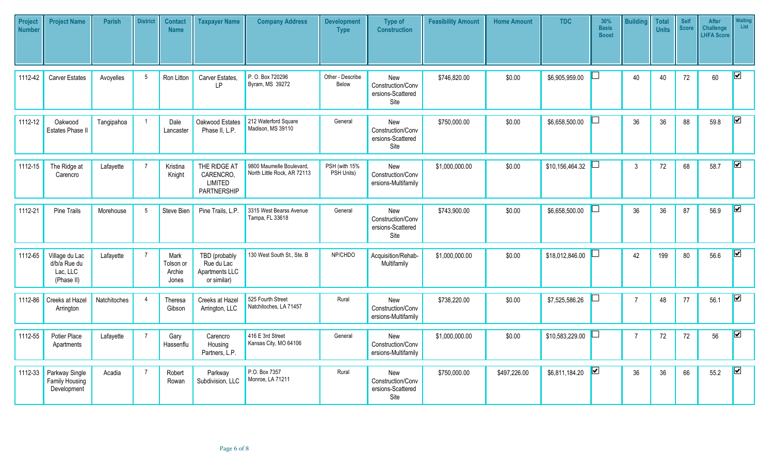| Project<br><b>Number</b> | <b>Project Name</b>                                      | <b>Parish</b> | <b>District</b> | <b>Contact</b><br><b>Name</b>        | <b>Taxpayer Name</b>                                         | <b>Company Address</b>                                  | <b>Development</b><br><b>Type</b> | <b>Type of</b><br><b>Construction</b>                        | <b>Feasibility Amount</b> | <b>Home Amount</b> | <b>TDC</b>      | 30%<br><b>Basis</b><br><b>Boost</b> | <b>Building</b> | <b>Total</b><br><b>Units</b> | Self<br><b>Score</b> | <b>After</b><br><b>Challenge</b><br><b>LHFA Score</b> | <b>Waiting</b><br>List          |
|--------------------------|----------------------------------------------------------|---------------|-----------------|--------------------------------------|--------------------------------------------------------------|---------------------------------------------------------|-----------------------------------|--------------------------------------------------------------|---------------------------|--------------------|-----------------|-------------------------------------|-----------------|------------------------------|----------------------|-------------------------------------------------------|---------------------------------|
| 1112-42                  | <b>Carver Estates</b>                                    | Avoyelles     | $5\phantom{.0}$ | Ron Litton                           | Carver Estates,<br><b>LP</b>                                 | P. O. Box 720296<br>Byram, MS 39272                     | Other - Describe<br>Below         | New<br>Construction/Conv<br>ersions-Scattered<br>Site        | \$746,820.00              | \$0.00             | \$6,905,959.00  |                                     | 40              | 40                           | 72                   | 60                                                    | $\overline{\blacktriangledown}$ |
| 1112-12                  | Oakwood<br>Estates Phase II                              | Tangipahoa    | $\overline{1}$  | Dale<br>Lancaster                    | Oakwood Estates<br>Phase II, L.P.                            | 212 Waterford Square<br>Madison, MS 39110               | General                           | New<br>Construction/Conv<br>ersions-Scattered<br>Site        | \$750,000.00              | \$0.00             | \$6,658,500.00  |                                     | 36              | 36                           | 88                   | 59.8                                                  | $\overline{\mathbf{v}}$         |
| 1112-15                  | The Ridge at<br>Carencro                                 | Lafayette     | $\overline{7}$  | Kristina<br>Knight                   | THE RIDGE AT<br>CARENCRO,<br>LIMITED<br>PARTNERSHIP          | 9800 Maumelle Boulevard,<br>North Little Rock, AR 72113 | PSH (with 15%<br>PSH Units)       | <b>New</b><br>Construction/Conv<br>ersions-Multifamily       | \$1,000,000.00            | \$0.00             | \$10,156,464.32 |                                     | 3               | 72                           | 68                   | 58.7                                                  | $\blacktriangledown$            |
| 1112-21                  | <b>Pine Trails</b>                                       | Morehouse     | $5\phantom{.0}$ | Steve Bien                           | Pine Trails, L.P.                                            | 3315 West Bearss Avenue<br>Tampa, FL 33618              | General                           | <b>New</b><br>Construction/Conv<br>ersions-Scattered<br>Site | \$743,900.00              | \$0.00             | \$6,658,500.00  |                                     | 36              | 36                           | 87                   | 56.9                                                  | $\boxed{\blacktriangledown}$    |
| 1112-65                  | Village du Lac<br>d/b/a Rue du<br>Lac, LLC<br>(Phase II) | Lafayette     | $\overline{7}$  | Mark<br>Tolson or<br>Archie<br>Jones | TBD (probably<br>Rue du Lac<br>Apartments LLC<br>or similar) | 130 West South St., Ste. B                              | NP/CHDO                           | Acquisition/Rehab-<br>Multifamily                            | \$1,000,000.00            | \$0.00             | \$18,012,846.00 |                                     | 42              | 199                          | 80                   | 56.6                                                  | $\overline{\mathbf{v}}$         |
| 1112-86                  | Creeks at Hazel<br>Arrington                             | Natchitoches  | $\overline{4}$  | Theresa<br>Gibson                    | Creeks at Hazel<br>Arrington, LLC                            | 525 Fourth Street<br>Natchitoches, LA 71457             | Rural                             | New<br>Construction/Conv<br>ersions-Multifamily              | \$738,220.00              | \$0.00             | \$7,525,586.26  |                                     | $\overline{7}$  | 48                           | 77                   | 56.1                                                  | $\blacktriangledown$            |
| 1112-55                  | Potier Place<br>Apartments                               | Lafayette     | $\overline{7}$  | Gary<br>Hassenflu                    | Carencro<br>Housing<br>Partners, L.P.                        | 416 E 3rd Street<br>Kansas City, MO 64106               | General                           | <b>New</b><br>Construction/Conv<br>ersions-Multifamily       | \$1,000,000.00            | \$0.00             | \$10,583,229.00 |                                     | $\overline{7}$  | 72                           | 72                   | 56                                                    | $\blacktriangledown$            |
| 1112-33                  | Parkway Single<br>Family Housing<br>Development          | Acadia        | 7               | Robert<br>Rowan                      | Parkway<br>Subdivision, LLC                                  | P.O. Box 7357<br>Monroe, LA 71211                       | Rural                             | New<br>Construction/Conv<br>ersions-Scattered<br>Site        | \$750,000.00              | \$497,226.00       | \$6,811,184.20  | $\boxed{\mathbf{v}}$                | 36              | 36                           | 66                   | 55.2                                                  | $\blacktriangledown$            |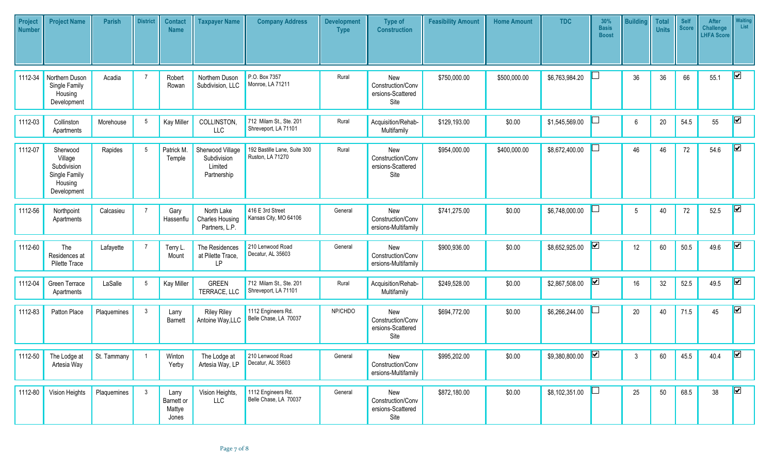| Project<br><b>Number</b> | <b>Project Name</b>                                                           | <b>Parish</b> | <b>District</b> | <b>Contact</b><br><b>Name</b>          | <b>Taxpayer Name</b>                                      | <b>Company Address</b>                           | <b>Development</b><br><b>Type</b> | <b>Type of</b><br><b>Construction</b>                  | <b>Feasibility Amount</b> | <b>Home Amount</b> | <b>TDC</b>     | 30%<br><b>Basis</b><br><b>Boost</b> | <b>Building</b> | <b>Total</b><br><b>Units</b> | Self<br><b>Score</b> | After<br><b>Challenge</b><br><b>LHFA Score</b> | <b>Waiting</b><br>List  |
|--------------------------|-------------------------------------------------------------------------------|---------------|-----------------|----------------------------------------|-----------------------------------------------------------|--------------------------------------------------|-----------------------------------|--------------------------------------------------------|---------------------------|--------------------|----------------|-------------------------------------|-----------------|------------------------------|----------------------|------------------------------------------------|-------------------------|
| 1112-34                  | Northern Duson<br>Single Family<br>Housing<br>Development                     | Acadia        | $\overline{7}$  | Robert<br>Rowan                        | Northern Duson<br>Subdivision, LLC                        | P.O. Box 7357<br>Monroe, LA 71211                | Rural                             | New<br>Construction/Conv<br>ersions-Scattered<br>Site  | \$750,000.00              | \$500,000.00       | \$6,763,984.20 |                                     | 36              | 36                           | 66                   | 55.1                                           | $\overline{\mathbf{v}}$ |
| 1112-03                  | Collinston<br>Apartments                                                      | Morehouse     | 5               | <b>Kay Miller</b>                      | COLLINSTON,<br><b>LLC</b>                                 | 712 Milam St., Ste. 201<br>Shreveport, LA 71101  | Rural                             | Acquisition/Rehab-<br>Multifamily                      | \$129,193.00              | \$0.00             | \$1,545,569.00 |                                     | 6               | 20                           | 54.5                 | 55                                             | $\blacktriangledown$    |
| 1112-07                  | Sherwood<br>Village<br>Subdivision<br>Single Family<br>Housing<br>Development | Rapides       | 5               | Patrick M.<br>Temple                   | Sherwood Village<br>Subdivision<br>Limited<br>Partnership | 192 Bastille Lane, Suite 300<br>Ruston, LA 71270 | Rural                             | New<br>Construction/Conv<br>ersions-Scattered<br>Site  | \$954,000.00              | \$400,000.00       | \$8,672,400.00 |                                     | 46              | 46                           | 72                   | 54.6                                           | $\blacktriangleright$   |
| 1112-56                  | Northpoint<br>Apartments                                                      | Calcasieu     | $\overline{7}$  | Gary<br>Hassenflu                      | North Lake<br><b>Charles Housing</b><br>Partners, L.P.    | 416 E 3rd Street<br>Kansas City, MO 64106        | General                           | New<br>Construction/Conv<br>ersions-Multifamily        | \$741,275.00              | \$0.00             | \$6,748,000.00 |                                     | 5               | 40                           | 72                   | 52.5                                           | $\vert\mathbf{v}\vert$  |
| 1112-60                  | The<br>Residences at<br>Pilette Trace                                         | Lafayette     | $\overline{7}$  | Terry L.<br>Mount                      | The Residences<br>at Pilette Trace,<br>LP                 | 210 Lenwood Road<br>Decatur, AL 35603            | General                           | New<br>Construction/Conv<br>ersions-Multifamily        | \$900,936.00              | \$0.00             | \$8,652,925.00 | $\vert\mathbf{v}\vert$              | 12              | 60                           | 50.5                 | 49.6                                           | $\overline{\mathbf{v}}$ |
| 1112-04                  | Green Terrace<br>Apartments                                                   | LaSalle       | $5\phantom{.0}$ | <b>Kay Miller</b>                      | <b>GREEN</b><br>TERRACE, LLC                              | 712 Milam St., Ste. 201<br>Shreveport, LA 71101  | Rural                             | Acquisition/Rehab-<br>Multifamily                      | \$249,528.00              | \$0.00             | \$2,867,508.00 | $\boxed{\mathbf{v}}$                | 16              | 32                           | 52.5                 | 49.5                                           | $\blacktriangledown$    |
| 1112-83                  | Patton Place                                                                  | Plaquemines   | 3               | Larry<br>Barnett                       | <b>Riley Riley</b><br>Antoine Way, LLC                    | 1112 Engineers Rd.<br>Belle Chase, LA 70037      | NP/CHDO                           | New<br>Construction/Conv<br>ersions-Scattered<br>Site  | \$694,772.00              | \$0.00             | \$6,266,244.00 |                                     | 20              | 40                           | 71.5                 | 45                                             | $\overline{\mathbf{v}}$ |
| 1112-50                  | The Lodge at<br>Artesia Way                                                   | St. Tammany   |                 | Winton<br>Yerby                        | The Lodge at<br>Artesia Way, LP                           | 210 Lenwood Road<br>Decatur, AL 35603            | General                           | <b>New</b><br>Construction/Conv<br>ersions-Multifamily | \$995,202.00              | \$0.00             | \$9,380,800.00 | $\boxed{\mathbf{v}}$                | 3               | 60                           | 45.5                 | 40.4                                           | $ \nabla $              |
| 1112-80                  | Vision Heights                                                                | Plaquemines   | 3               | Larry<br>Barnett or<br>Mattye<br>Jones | Vision Heights,<br>LLC                                    | 1112 Engineers Rd.<br>Belle Chase, LA 70037      | General                           | New<br>Construction/Conv<br>ersions-Scattered<br>Site  | \$872,180.00              | \$0.00             | \$8,102,351.00 |                                     | 25              | 50                           | 68.5                 | 38                                             | $\blacktriangleright$   |